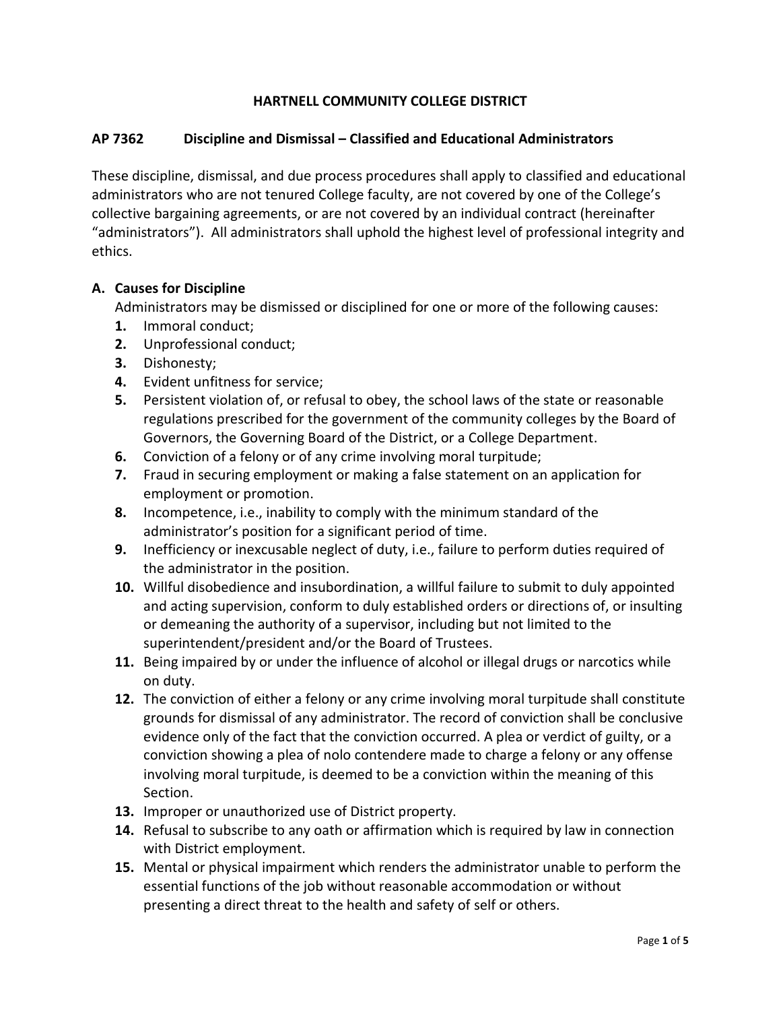# **HARTNELL COMMUNITY COLLEGE DISTRICT**

## **AP 7362 Discipline and Dismissal – Classified and Educational Administrators**

These discipline, dismissal, and due process procedures shall apply to classified and educational administrators who are not tenured College faculty, are not covered by one of the College's collective bargaining agreements, or are not covered by an individual contract (hereinafter "administrators"). All administrators shall uphold the highest level of professional integrity and ethics.

### **A. Causes for Discipline**

Administrators may be dismissed or disciplined for one or more of the following causes:

- **1.** Immoral conduct;
- **2.** Unprofessional conduct;
- **3.** Dishonesty;
- **4.** Evident unfitness for service;
- **5.** Persistent violation of, or refusal to obey, the school laws of the state or reasonable regulations prescribed for the government of the community colleges by the Board of Governors, the Governing Board of the District, or a College Department.
- **6.** Conviction of a felony or of any crime involving moral turpitude;
- **7.** Fraud in securing employment or making a false statement on an application for employment or promotion.
- **8.** Incompetence, i.e., inability to comply with the minimum standard of the administrator's position for a significant period of time.
- **9.** Inefficiency or inexcusable neglect of duty, i.e., failure to perform duties required of the administrator in the position.
- **10.** Willful disobedience and insubordination, a willful failure to submit to duly appointed and acting supervision, conform to duly established orders or directions of, or insulting or demeaning the authority of a supervisor, including but not limited to the superintendent/president and/or the Board of Trustees.
- **11.** Being impaired by or under the influence of alcohol or illegal drugs or narcotics while on duty.
- **12.** The conviction of either a felony or any crime involving moral turpitude shall constitute grounds for dismissal of any administrator. The record of conviction shall be conclusive evidence only of the fact that the conviction occurred. A plea or verdict of guilty, or a conviction showing a plea of nolo contendere made to charge a felony or any offense involving moral turpitude, is deemed to be a conviction within the meaning of this Section.
- **13.** Improper or unauthorized use of District property.
- **14.** Refusal to subscribe to any oath or affirmation which is required by law in connection with District employment.
- **15.** Mental or physical impairment which renders the administrator unable to perform the essential functions of the job without reasonable accommodation or without presenting a direct threat to the health and safety of self or others.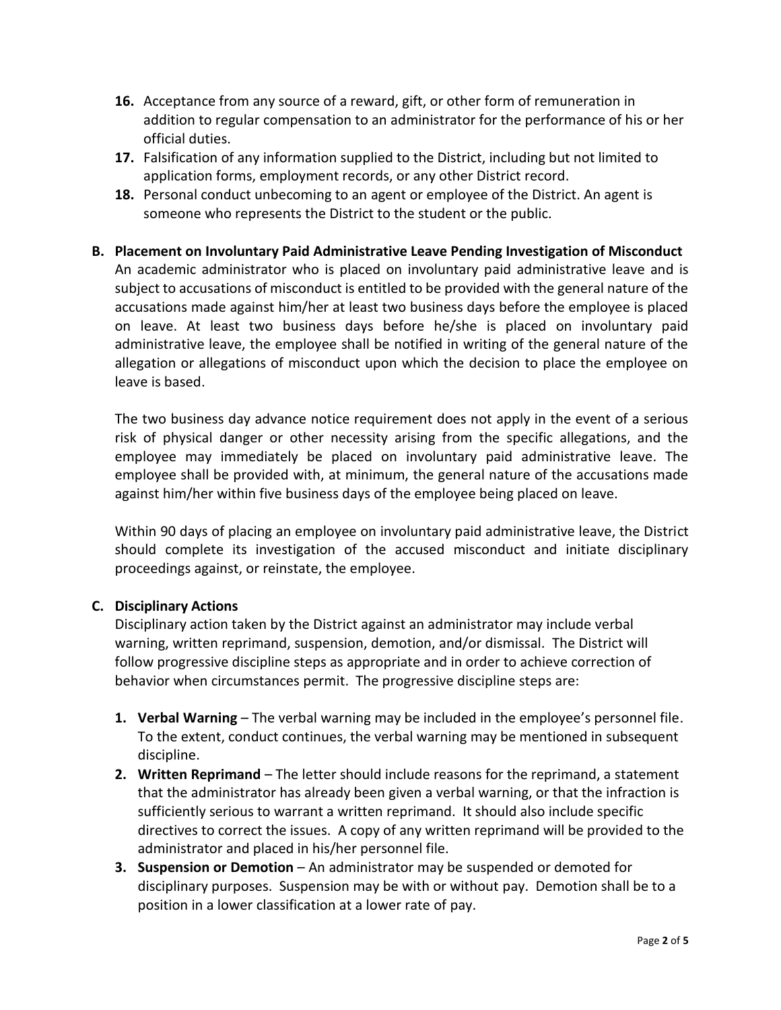- **16.** Acceptance from any source of a reward, gift, or other form of remuneration in addition to regular compensation to an administrator for the performance of his or her official duties.
- **17.** Falsification of any information supplied to the District, including but not limited to application forms, employment records, or any other District record.
- **18.** Personal conduct unbecoming to an agent or employee of the District. An agent is someone who represents the District to the student or the public.
- **B. Placement on Involuntary Paid Administrative Leave Pending Investigation of Misconduct** An academic administrator who is placed on involuntary paid administrative leave and is subject to accusations of misconduct is entitled to be provided with the general nature of the accusations made against him/her at least two business days before the employee is placed on leave. At least two business days before he/she is placed on involuntary paid administrative leave, the employee shall be notified in writing of the general nature of the allegation or allegations of misconduct upon which the decision to place the employee on leave is based.

The two business day advance notice requirement does not apply in the event of a serious risk of physical danger or other necessity arising from the specific allegations, and the employee may immediately be placed on involuntary paid administrative leave. The employee shall be provided with, at minimum, the general nature of the accusations made against him/her within five business days of the employee being placed on leave.

Within 90 days of placing an employee on involuntary paid administrative leave, the District should complete its investigation of the accused misconduct and initiate disciplinary proceedings against, or reinstate, the employee.

# **C. Disciplinary Actions**

Disciplinary action taken by the District against an administrator may include verbal warning, written reprimand, suspension, demotion, and/or dismissal. The District will follow progressive discipline steps as appropriate and in order to achieve correction of behavior when circumstances permit. The progressive discipline steps are:

- **1. Verbal Warning** The verbal warning may be included in the employee's personnel file. To the extent, conduct continues, the verbal warning may be mentioned in subsequent discipline.
- **2. Written Reprimand** The letter should include reasons for the reprimand, a statement that the administrator has already been given a verbal warning, or that the infraction is sufficiently serious to warrant a written reprimand. It should also include specific directives to correct the issues. A copy of any written reprimand will be provided to the administrator and placed in his/her personnel file.
- **3. Suspension or Demotion** An administrator may be suspended or demoted for disciplinary purposes. Suspension may be with or without pay. Demotion shall be to a position in a lower classification at a lower rate of pay.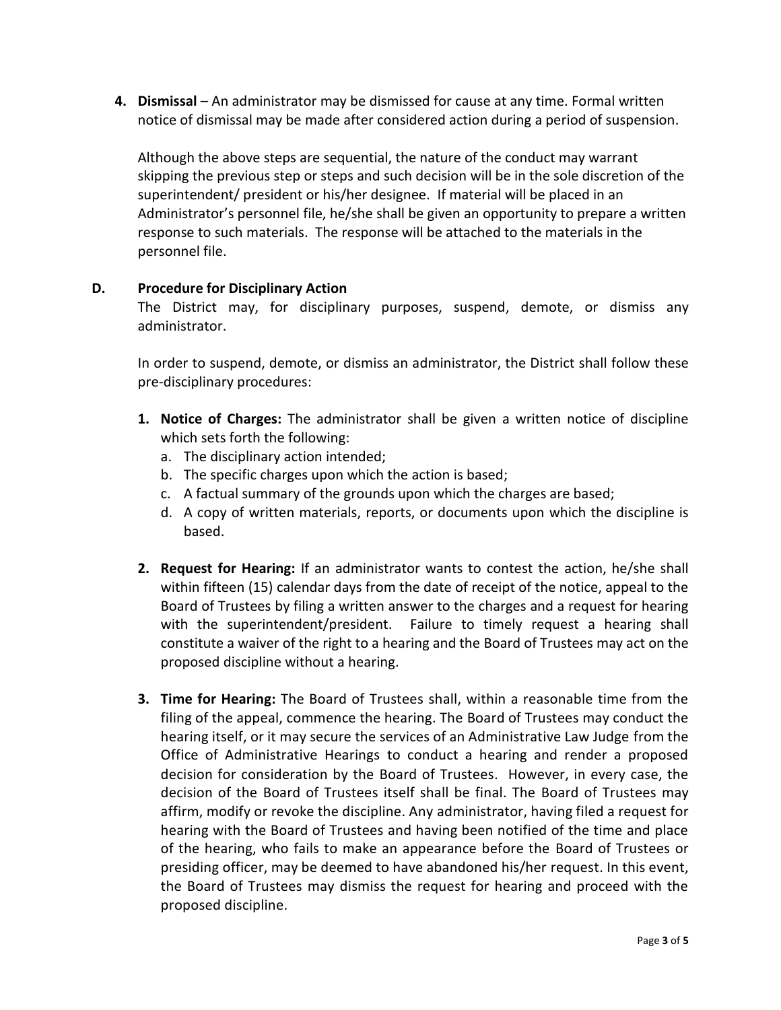**4. Dismissal** – An administrator may be dismissed for cause at any time. Formal written notice of dismissal may be made after considered action during a period of suspension.

Although the above steps are sequential, the nature of the conduct may warrant skipping the previous step or steps and such decision will be in the sole discretion of the superintendent/ president or his/her designee. If material will be placed in an Administrator's personnel file, he/she shall be given an opportunity to prepare a written response to such materials. The response will be attached to the materials in the personnel file.

### **D. Procedure for Disciplinary Action**

The District may, for disciplinary purposes, suspend, demote, or dismiss any administrator.

In order to suspend, demote, or dismiss an administrator, the District shall follow these pre-disciplinary procedures:

- **1. Notice of Charges:** The administrator shall be given a written notice of discipline which sets forth the following:
	- a. The disciplinary action intended;
	- b. The specific charges upon which the action is based;
	- c. A factual summary of the grounds upon which the charges are based;
	- d. A copy of written materials, reports, or documents upon which the discipline is based.
- **2. Request for Hearing:** If an administrator wants to contest the action, he/she shall within fifteen (15) calendar days from the date of receipt of the notice, appeal to the Board of Trustees by filing a written answer to the charges and a request for hearing with the superintendent/president. Failure to timely request a hearing shall constitute a waiver of the right to a hearing and the Board of Trustees may act on the proposed discipline without a hearing.
- **3. Time for Hearing:** The Board of Trustees shall, within a reasonable time from the filing of the appeal, commence the hearing. The Board of Trustees may conduct the hearing itself, or it may secure the services of an Administrative Law Judge from the Office of Administrative Hearings to conduct a hearing and render a proposed decision for consideration by the Board of Trustees. However, in every case, the decision of the Board of Trustees itself shall be final. The Board of Trustees may affirm, modify or revoke the discipline. Any administrator, having filed a request for hearing with the Board of Trustees and having been notified of the time and place of the hearing, who fails to make an appearance before the Board of Trustees or presiding officer, may be deemed to have abandoned his/her request. In this event, the Board of Trustees may dismiss the request for hearing and proceed with the proposed discipline.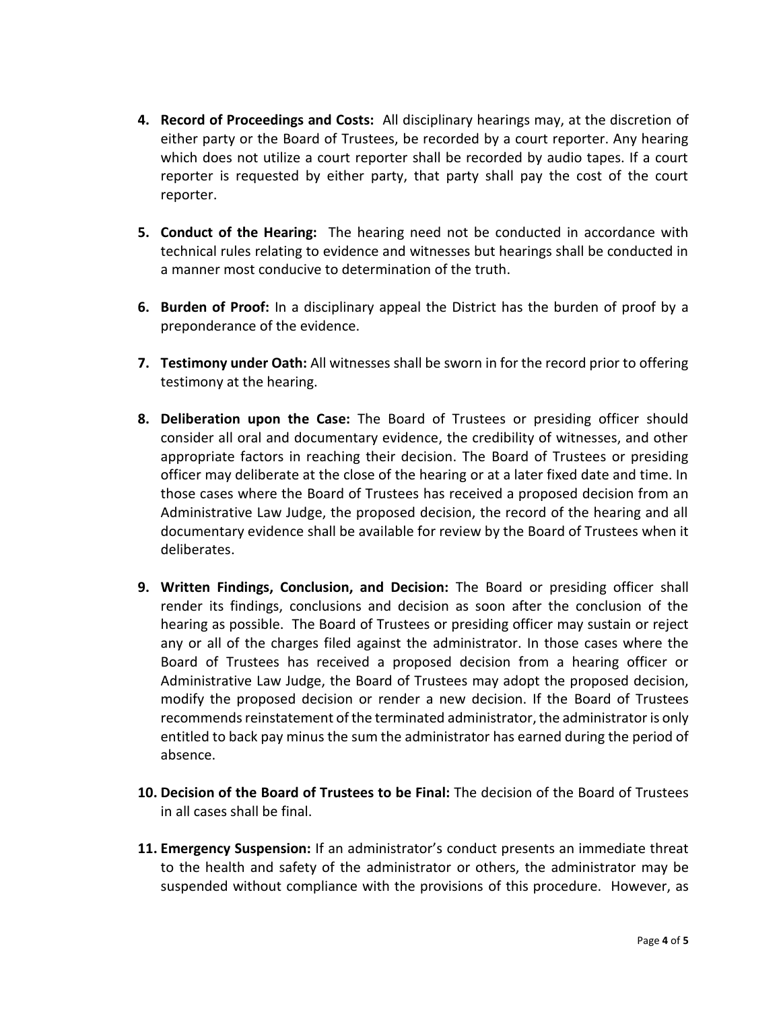- **4. Record of Proceedings and Costs:** All disciplinary hearings may, at the discretion of either party or the Board of Trustees, be recorded by a court reporter. Any hearing which does not utilize a court reporter shall be recorded by audio tapes. If a court reporter is requested by either party, that party shall pay the cost of the court reporter.
- **5. Conduct of the Hearing:** The hearing need not be conducted in accordance with technical rules relating to evidence and witnesses but hearings shall be conducted in a manner most conducive to determination of the truth.
- **6. Burden of Proof:** In a disciplinary appeal the District has the burden of proof by a preponderance of the evidence.
- **7. Testimony under Oath:** All witnesses shall be sworn in for the record prior to offering testimony at the hearing.
- **8. Deliberation upon the Case:** The Board of Trustees or presiding officer should consider all oral and documentary evidence, the credibility of witnesses, and other appropriate factors in reaching their decision. The Board of Trustees or presiding officer may deliberate at the close of the hearing or at a later fixed date and time. In those cases where the Board of Trustees has received a proposed decision from an Administrative Law Judge, the proposed decision, the record of the hearing and all documentary evidence shall be available for review by the Board of Trustees when it deliberates.
- **9. Written Findings, Conclusion, and Decision:** The Board or presiding officer shall render its findings, conclusions and decision as soon after the conclusion of the hearing as possible. The Board of Trustees or presiding officer may sustain or reject any or all of the charges filed against the administrator. In those cases where the Board of Trustees has received a proposed decision from a hearing officer or Administrative Law Judge, the Board of Trustees may adopt the proposed decision, modify the proposed decision or render a new decision. If the Board of Trustees recommends reinstatement of the terminated administrator, the administrator is only entitled to back pay minus the sum the administrator has earned during the period of absence.
- **10. Decision of the Board of Trustees to be Final:** The decision of the Board of Trustees in all cases shall be final.
- **11. Emergency Suspension:** If an administrator's conduct presents an immediate threat to the health and safety of the administrator or others, the administrator may be suspended without compliance with the provisions of this procedure. However, as